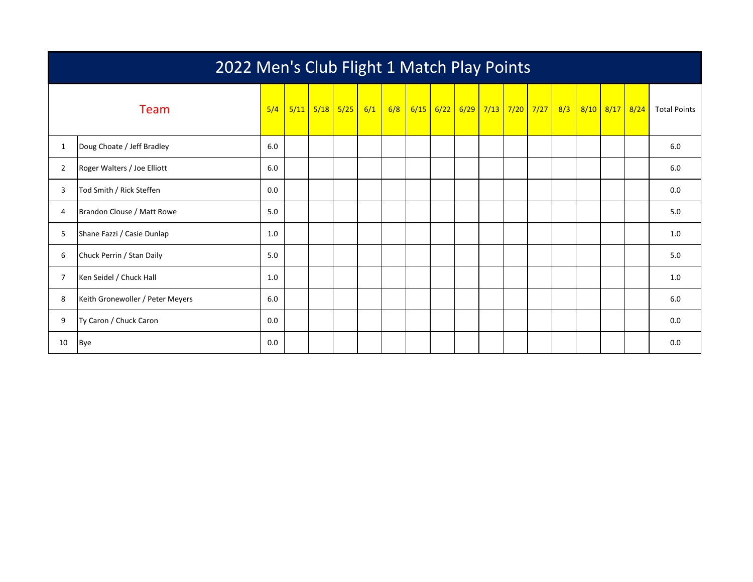|                | 2022 Men's Club Flight 1 Match Play Points |     |  |  |                                          |  |     |  |  |                                   |  |  |  |  |                |                     |
|----------------|--------------------------------------------|-----|--|--|------------------------------------------|--|-----|--|--|-----------------------------------|--|--|--|--|----------------|---------------------|
|                | Team                                       |     |  |  | $5/4$   $5/11$   $5/18$   $5/25$   $6/1$ |  | 6/8 |  |  | 6/15 6/22 6/29 7/13 7/20 7/27 8/3 |  |  |  |  | 8/10 8/17 8/24 | <b>Total Points</b> |
| $\mathbf{1}$   | Doug Choate / Jeff Bradley                 | 6.0 |  |  |                                          |  |     |  |  |                                   |  |  |  |  |                | 6.0                 |
| $\overline{2}$ | Roger Walters / Joe Elliott                | 6.0 |  |  |                                          |  |     |  |  |                                   |  |  |  |  |                | 6.0                 |
| 3              | Tod Smith / Rick Steffen                   | 0.0 |  |  |                                          |  |     |  |  |                                   |  |  |  |  |                | 0.0                 |
| 4              | Brandon Clouse / Matt Rowe                 | 5.0 |  |  |                                          |  |     |  |  |                                   |  |  |  |  |                | 5.0                 |
| 5              | Shane Fazzi / Casie Dunlap                 | 1.0 |  |  |                                          |  |     |  |  |                                   |  |  |  |  |                | 1.0                 |
| 6              | Chuck Perrin / Stan Daily                  | 5.0 |  |  |                                          |  |     |  |  |                                   |  |  |  |  |                | 5.0                 |
| $\overline{7}$ | Ken Seidel / Chuck Hall                    | 1.0 |  |  |                                          |  |     |  |  |                                   |  |  |  |  |                | 1.0                 |
| 8              | Keith Gronewoller / Peter Meyers           | 6.0 |  |  |                                          |  |     |  |  |                                   |  |  |  |  |                | 6.0                 |
| 9              | Ty Caron / Chuck Caron                     | 0.0 |  |  |                                          |  |     |  |  |                                   |  |  |  |  |                | 0.0                 |
| 10             | <b>Bye</b>                                 | 0.0 |  |  |                                          |  |     |  |  |                                   |  |  |  |  |                | 0.0                 |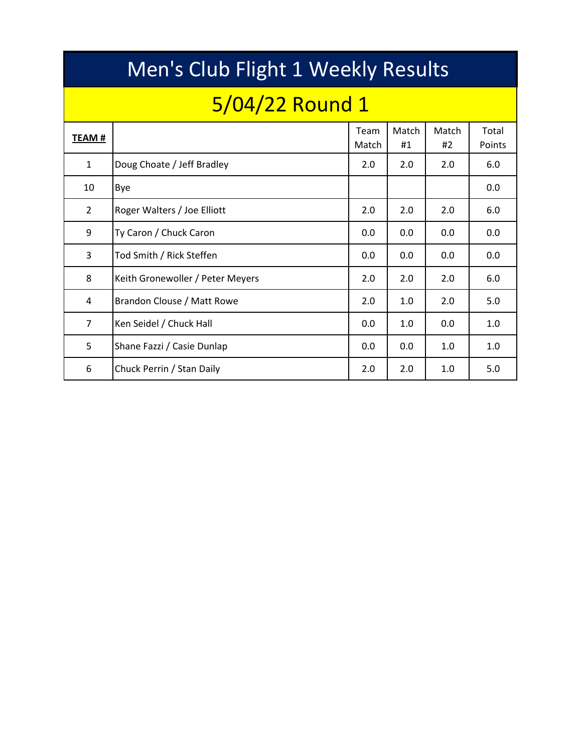|                | <b>Men's Club Flight 1 Weekly Results</b> |               |             |             |                 |  |  |  |  |  |  |  |  |  |
|----------------|-------------------------------------------|---------------|-------------|-------------|-----------------|--|--|--|--|--|--|--|--|--|
|                | 5/04/22 Round 1                           |               |             |             |                 |  |  |  |  |  |  |  |  |  |
| TEAM #         |                                           | Team<br>Match | Match<br>#1 | Match<br>#2 | Total<br>Points |  |  |  |  |  |  |  |  |  |
| $\mathbf{1}$   | Doug Choate / Jeff Bradley                | 2.0           | 2.0         | 2.0         | 6.0             |  |  |  |  |  |  |  |  |  |
| 10             | Bye                                       |               |             |             | 0.0             |  |  |  |  |  |  |  |  |  |
| $\overline{2}$ | Roger Walters / Joe Elliott               | 2.0           | 2.0         | 2.0         | 6.0             |  |  |  |  |  |  |  |  |  |
| 9              | Ty Caron / Chuck Caron                    | 0.0           | 0.0         | 0.0         | 0.0             |  |  |  |  |  |  |  |  |  |
| 3              | Tod Smith / Rick Steffen                  | 0.0           | 0.0         | 0.0         | 0.0             |  |  |  |  |  |  |  |  |  |
| 8              | Keith Gronewoller / Peter Meyers          | 2.0           | 2.0         | 2.0         | 6.0             |  |  |  |  |  |  |  |  |  |
| 4              | Brandon Clouse / Matt Rowe                | 2.0           | 1.0         | 2.0         | 5.0             |  |  |  |  |  |  |  |  |  |
| $\overline{7}$ | Ken Seidel / Chuck Hall                   | 0.0           | 1.0         | 0.0         | 1.0             |  |  |  |  |  |  |  |  |  |
| 5              | Shane Fazzi / Casie Dunlap                | 0.0           | 0.0         | 1.0         | 1.0             |  |  |  |  |  |  |  |  |  |
| 6              | Chuck Perrin / Stan Daily                 | 2.0           | 2.0         | 1.0         | 5.0             |  |  |  |  |  |  |  |  |  |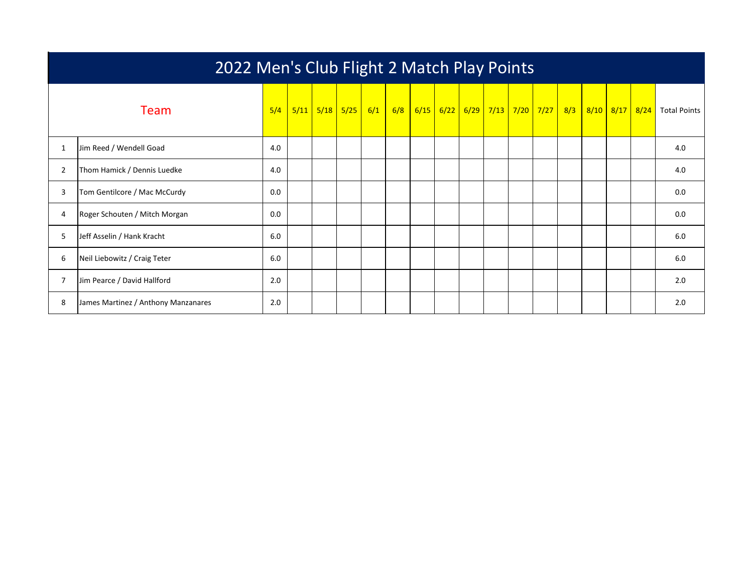|   | 2022 Men's Club Flight 2 Match Play Points |     |  |  |                            |  |  |  |  |  |  |  |  |  |  |                                                                   |
|---|--------------------------------------------|-----|--|--|----------------------------|--|--|--|--|--|--|--|--|--|--|-------------------------------------------------------------------|
|   | Team                                       | 5/4 |  |  | $5/11$ $5/18$ $5/25$ $6/1$ |  |  |  |  |  |  |  |  |  |  | 6/8 6/15 6/22 6/29 7/13 7/20 7/27 8/3 8/10 8/17 8/24 Total Points |
| 1 | Jim Reed / Wendell Goad                    | 4.0 |  |  |                            |  |  |  |  |  |  |  |  |  |  | 4.0                                                               |
| 2 | Thom Hamick / Dennis Luedke                | 4.0 |  |  |                            |  |  |  |  |  |  |  |  |  |  | 4.0                                                               |
| 3 | Tom Gentilcore / Mac McCurdy               | 0.0 |  |  |                            |  |  |  |  |  |  |  |  |  |  | 0.0                                                               |
| 4 | Roger Schouten / Mitch Morgan              | 0.0 |  |  |                            |  |  |  |  |  |  |  |  |  |  | 0.0                                                               |
| 5 | Jeff Asselin / Hank Kracht                 | 6.0 |  |  |                            |  |  |  |  |  |  |  |  |  |  | 6.0                                                               |
| 6 | Neil Liebowitz / Craig Teter               | 6.0 |  |  |                            |  |  |  |  |  |  |  |  |  |  | 6.0                                                               |
|   | Jim Pearce / David Hallford                | 2.0 |  |  |                            |  |  |  |  |  |  |  |  |  |  | 2.0                                                               |
| 8 | James Martinez / Anthony Manzanares        | 2.0 |  |  |                            |  |  |  |  |  |  |  |  |  |  | 2.0                                                               |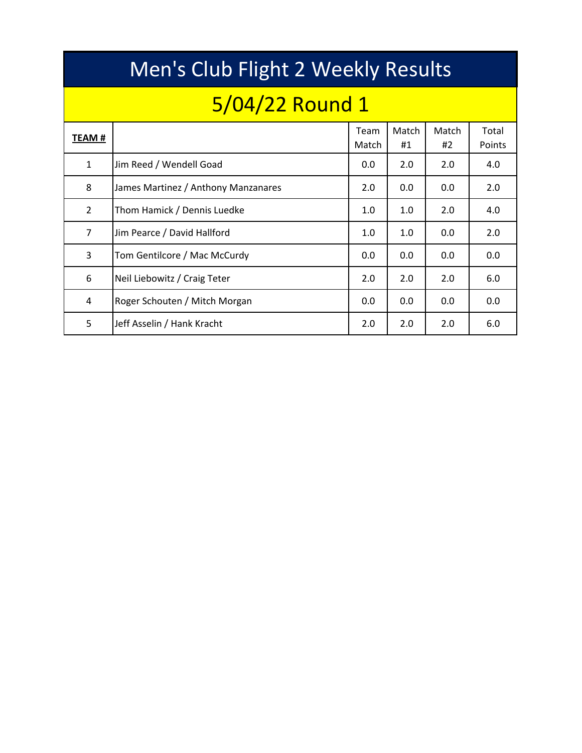|              | Men's Club Flight 2 Weekly Results  |               |             |             |                 |  |  |  |  |  |  |  |  |  |  |
|--------------|-------------------------------------|---------------|-------------|-------------|-----------------|--|--|--|--|--|--|--|--|--|--|
|              | 5/04/22 Round 1                     |               |             |             |                 |  |  |  |  |  |  |  |  |  |  |
| TEAM #       |                                     | Team<br>Match | Match<br>#1 | Match<br>#2 | Total<br>Points |  |  |  |  |  |  |  |  |  |  |
| $\mathbf{1}$ | Jim Reed / Wendell Goad             | 0.0           | 2.0         | 2.0         | 4.0             |  |  |  |  |  |  |  |  |  |  |
| 8            | James Martinez / Anthony Manzanares | 2.0           | 0.0         | 0.0         | 2.0             |  |  |  |  |  |  |  |  |  |  |
| 2            | Thom Hamick / Dennis Luedke         | 1.0           | 1.0         | 2.0         | 4.0             |  |  |  |  |  |  |  |  |  |  |
| 7            | Jim Pearce / David Hallford         | 1.0           | 1.0         | 0.0         | 2.0             |  |  |  |  |  |  |  |  |  |  |
| 3            | Tom Gentilcore / Mac McCurdy        | 0.0           | 0.0         | 0.0         | 0.0             |  |  |  |  |  |  |  |  |  |  |
| 6            | Neil Liebowitz / Craig Teter        | 2.0           | 2.0         | 2.0         | 6.0             |  |  |  |  |  |  |  |  |  |  |
| 4            | Roger Schouten / Mitch Morgan       | 0.0           | 0.0         | 0.0         | 0.0             |  |  |  |  |  |  |  |  |  |  |
| 5            | Jeff Asselin / Hank Kracht          | 2.0           | 2.0         | 2.0         | 6.0             |  |  |  |  |  |  |  |  |  |  |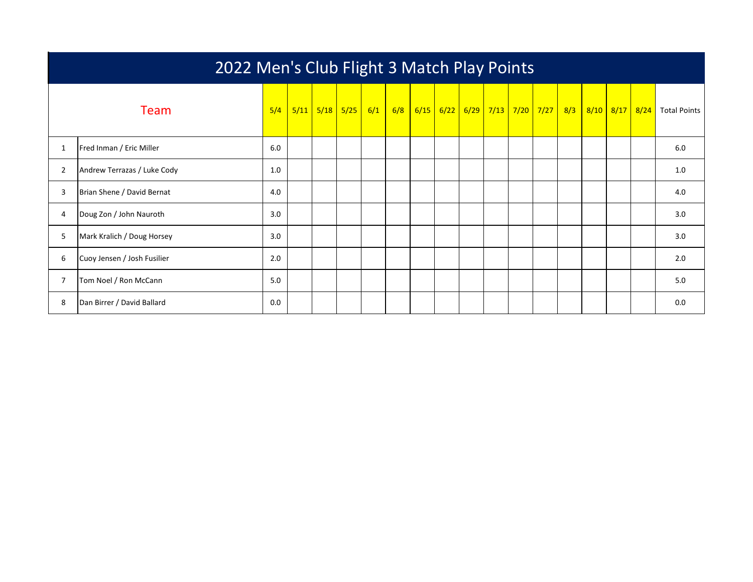|                | 2022 Men's Club Flight 3 Match Play Points |     |  |  |                      |     |  |  |  |                                       |  |  |  |  |  |                             |
|----------------|--------------------------------------------|-----|--|--|----------------------|-----|--|--|--|---------------------------------------|--|--|--|--|--|-----------------------------|
|                | Team                                       | 5/4 |  |  | $5/11$ $5/18$ $5/25$ | 6/1 |  |  |  | 6/8 6/15 6/22 6/29 7/13 7/20 7/27 8/3 |  |  |  |  |  | 8/10 8/17 8/24 Total Points |
| 1              | Fred Inman / Eric Miller                   | 6.0 |  |  |                      |     |  |  |  |                                       |  |  |  |  |  | 6.0                         |
| $\overline{2}$ | Andrew Terrazas / Luke Cody                | 1.0 |  |  |                      |     |  |  |  |                                       |  |  |  |  |  | 1.0                         |
| 3              | Brian Shene / David Bernat                 | 4.0 |  |  |                      |     |  |  |  |                                       |  |  |  |  |  | 4.0                         |
| 4              | Doug Zon / John Nauroth                    | 3.0 |  |  |                      |     |  |  |  |                                       |  |  |  |  |  | 3.0                         |
| 5              | Mark Kralich / Doug Horsey                 | 3.0 |  |  |                      |     |  |  |  |                                       |  |  |  |  |  | 3.0                         |
| 6              | Cuoy Jensen / Josh Fusilier                | 2.0 |  |  |                      |     |  |  |  |                                       |  |  |  |  |  | 2.0                         |
| 7              | Tom Noel / Ron McCann                      | 5.0 |  |  |                      |     |  |  |  |                                       |  |  |  |  |  | 5.0                         |
| 8              | Dan Birrer / David Ballard                 | 0.0 |  |  |                      |     |  |  |  |                                       |  |  |  |  |  | 0.0                         |